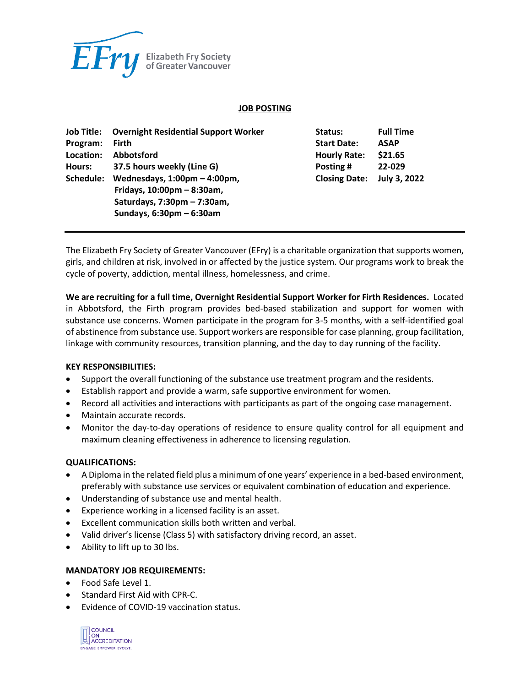

#### **JOB POSTING**

| Job Title: | <b>Overnight Residential Support Worker</b>     | Status:              | <b>Full Time</b> |
|------------|-------------------------------------------------|----------------------|------------------|
| Program:   | <b>Firth</b>                                    | <b>Start Date:</b>   | <b>ASAP</b>      |
| Location:  | <b>Abbotsford</b>                               | <b>Hourly Rate:</b>  | \$21.65          |
| Hours:     | 37.5 hours weekly (Line G)                      | Posting #            | 22-029           |
| Schedule:  | Wednesdays, $1:00 \text{pm} - 4:00 \text{pm}$ , | <b>Closing Date:</b> | July 3, 2022     |
|            | Fridays, $10:00 \text{pm} - 8:30 \text{am}$ ,   |                      |                  |
|            | Saturdays, 7:30pm - 7:30am,                     |                      |                  |
|            | Sundays, $6:30 \text{pm} - 6:30 \text{am}$      |                      |                  |

The Elizabeth Fry Society of Greater Vancouver (EFry) is a charitable organization that supports women, girls, and children at risk, involved in or affected by the justice system. Our programs work to break the cycle of poverty, addiction, mental illness, homelessness, and crime.

**We are recruiting for a full time, Overnight Residential Support Worker for Firth Residences.** Located in Abbotsford, the Firth program provides bed-based stabilization and support for women with substance use concerns. Women participate in the program for 3-5 months, with a self-identified goal of abstinence from substance use. Support workers are responsible for case planning, group facilitation, linkage with community resources, transition planning, and the day to day running of the facility.

## **KEY RESPONSIBILITIES:**

- Support the overall functioning of the substance use treatment program and the residents.
- Establish rapport and provide a warm, safe supportive environment for women.
- Record all activities and interactions with participants as part of the ongoing case management.
- Maintain accurate records.
- Monitor the day-to-day operations of residence to ensure quality control for all equipment and maximum cleaning effectiveness in adherence to licensing regulation.

## **QUALIFICATIONS:**

- A Diploma in the related field plus a minimum of one years' experience in a bed-based environment, preferably with substance use services or equivalent combination of education and experience.
- Understanding of substance use and mental health.
- Experience working in a licensed facility is an asset.
- Excellent communication skills both written and verbal.
- Valid driver's license (Class 5) with satisfactory driving record, an asset.
- Ability to lift up to 30 lbs.

#### **MANDATORY JOB REQUIREMENTS:**

- Food Safe Level 1.
- Standard First Aid with CPR-C.
- Evidence of COVID-19 vaccination status.